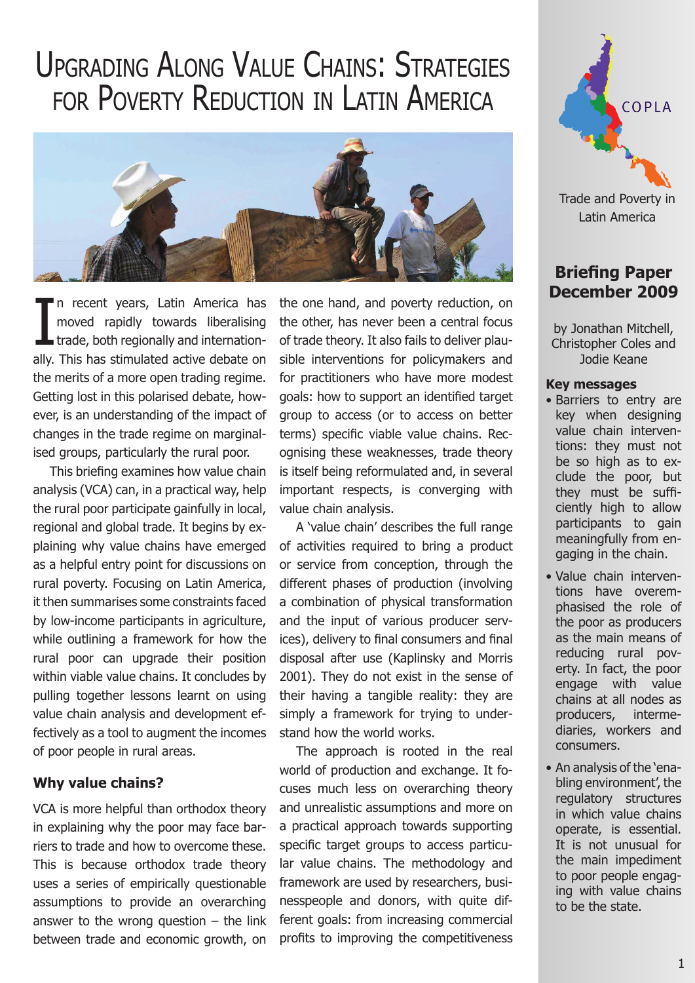# Upgrading Along Value Chains: Strategies for Poverty Reduction in Latin America



I n recent years, Latin America has moved rapidly towards liberalising **trade, both regionally and internation**ally. This has stimulated active debate on the merits of a more open trading regime. Getting lost in this polarised debate, however, is an understanding of the impact of changes in the trade regime on marginalised groups, particularly the rural poor.

This briefing examines how value chain analysis (VCA) can, in a practical way, help the rural poor participate gainfully in local, regional and global trade. It begins by explaining why value chains have emerged as a helpful entry point for discussions on rural poverty. Focusing on Latin America, it then summarises some constraints faced by low-income participants in agriculture, while outlining a framework for how the rural poor can upgrade their position within viable value chains. It concludes by pulling together lessons learnt on using value chain analysis and development effectively as a tool to augment the incomes of poor people in rural areas.

## **Why value chains?**

VCA is more helpful than orthodox theory in explaining why the poor may face barriers to trade and how to overcome these. This is because orthodox trade theory uses a series of empirically questionable assumptions to provide an overarching answer to the wrong question  $-$  the link between trade and economic growth, on the one hand, and poverty reduction, on the other, has never been a central focus of trade theory. It also fails to deliver plausible interventions for policymakers and for practitioners who have more modest goals: how to support an identified target group to access (or to access on better terms) specific viable value chains. Recognising these weaknesses, trade theory is itself being reformulated and, in several important respects, is converging with value chain analysis.

A 'value chain' describes the full range of activities required to bring a product or service from conception, through the different phases of production (involving a combination of physical transformation and the input of various producer services), delivery to final consumers and final disposal after use (Kaplinsky and Morris 2001). They do not exist in the sense of their having a tangible reality: they are simply a framework for trying to understand how the world works.

The approach is rooted in the real world of production and exchange. It focuses much less on overarching theory and unrealistic assumptions and more on a practical approach towards supporting specific target groups to access particular value chains. The methodology and framework are used by researchers, businesspeople and donors, with quite different goals: from increasing commercial profits to improving the competitiveness



Latin America

# **Briefing Paper December 2009**

by Jonathan Mitchell, Christopher Coles and Jodie Keane

#### **Key messages**

- • Barriers to entry are key when designing value chain interventions: they must not be so high as to exclude the poor, but they must be sufficiently high to allow participants to gain meaningfully from engaging in the chain.
- • Value chain interventions have overemphasised the role of the poor as producers as the main means of reducing rural poverty. In fact, the poor engage with value chains at all nodes as producers, intermediaries, workers and consumers.
- • An analysis of the 'enabling environment', the regulatory structures in which value chains operate, is essential. It is not unusual for the main impediment to poor people engaging with value chains to be the state.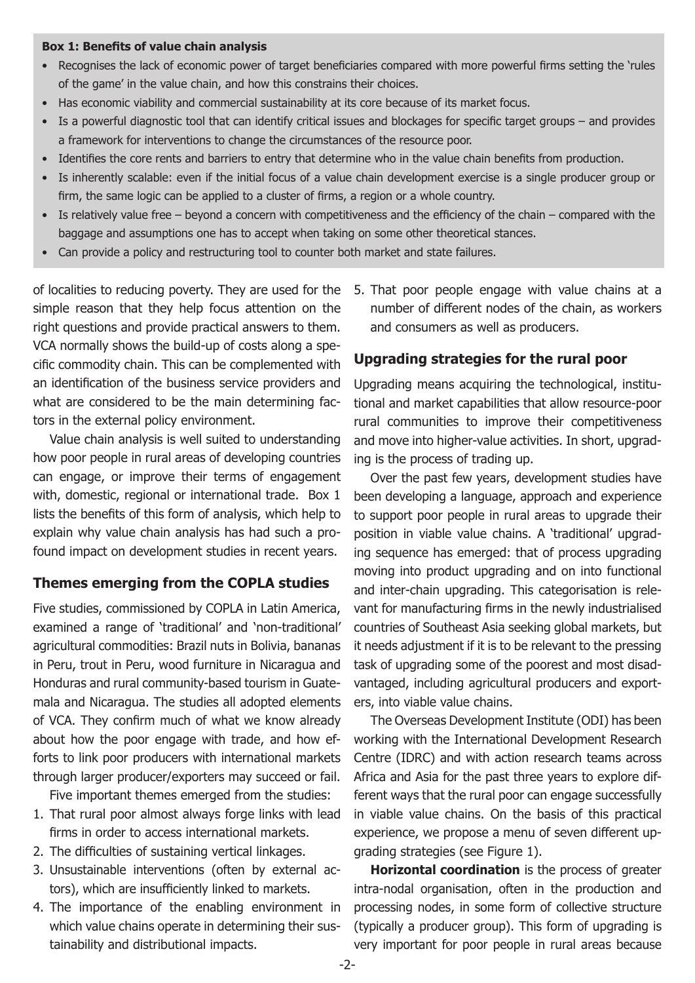#### **Box 1: Benefits of value chain analysis**

- • Recognises the lack of economic power of target beneficiaries compared with more powerful firms setting the 'rules of the game' in the value chain, and how this constrains their choices.
- Has economic viability and commercial sustainability at its core because of its market focus.
- Is a powerful diagnostic tool that can identify critical issues and blockages for specific target groups and provides a framework for interventions to change the circumstances of the resource poor.
- Identifies the core rents and barriers to entry that determine who in the value chain benefits from production.
- • Is inherently scalable: even if the initial focus of a value chain development exercise is a single producer group or firm, the same logic can be applied to a cluster of firms, a region or a whole country.
- Is relatively value free beyond a concern with competitiveness and the efficiency of the chain compared with the baggage and assumptions one has to accept when taking on some other theoretical stances.
- Can provide a policy and restructuring tool to counter both market and state failures.

simple reason that they help focus attention on the right questions and provide practical answers to them. VCA normally shows the build-up of costs along a specific commodity chain. This can be complemented with an identification of the business service providers and what are considered to be the main determining factors in the external policy environment.

Value chain analysis is well suited to understanding how poor people in rural areas of developing countries can engage, or improve their terms of engagement with, domestic, regional or international trade. Box 1 lists the benefits of this form of analysis, which help to explain why value chain analysis has had such a profound impact on development studies in recent years.

#### **Themes emerging from the COPLA studies**

Five studies, commissioned by COPLA in Latin America, examined a range of 'traditional' and 'non-traditional' agricultural commodities: Brazil nuts in Bolivia, bananas in Peru, trout in Peru, wood furniture in Nicaragua and Honduras and rural community-based tourism in Guatemala and Nicaragua. The studies all adopted elements of VCA. They confirm much of what we know already about how the poor engage with trade, and how efforts to link poor producers with international markets through larger producer/exporters may succeed or fail.

Five important themes emerged from the studies:

- 1. That rural poor almost always forge links with lead firms in order to access international markets.
- 2. The difficulties of sustaining vertical linkages.
- 3. Unsustainable interventions (often by external actors), which are insufficiently linked to markets.
- 4. The importance of the enabling environment in which value chains operate in determining their sustainability and distributional impacts.

of localities to reducing poverty. They are used for the 5. That poor people engage with value chains at a number of different nodes of the chain, as workers and consumers as well as producers.

# **Upgrading strategies for the rural poor**

Upgrading means acquiring the technological, institutional and market capabilities that allow resource-poor rural communities to improve their competitiveness and move into higher-value activities. In short, upgrading is the process of trading up.

Over the past few years, development studies have been developing a language, approach and experience to support poor people in rural areas to upgrade their position in viable value chains. A 'traditional' upgrading sequence has emerged: that of process upgrading moving into product upgrading and on into functional and inter-chain upgrading. This categorisation is relevant for manufacturing firms in the newly industrialised countries of Southeast Asia seeking global markets, but it needs adjustment if it is to be relevant to the pressing task of upgrading some of the poorest and most disadvantaged, including agricultural producers and exporters, into viable value chains.

The Overseas Development Institute (ODI) has been working with the International Development Research Centre (IDRC) and with action research teams across Africa and Asia for the past three years to explore different ways that the rural poor can engage successfully in viable value chains. On the basis of this practical experience, we propose a menu of seven different upgrading strategies (see Figure 1).

**Horizontal coordination** is the process of greater intra-nodal organisation, often in the production and processing nodes, in some form of collective structure (typically a producer group). This form of upgrading is very important for poor people in rural areas because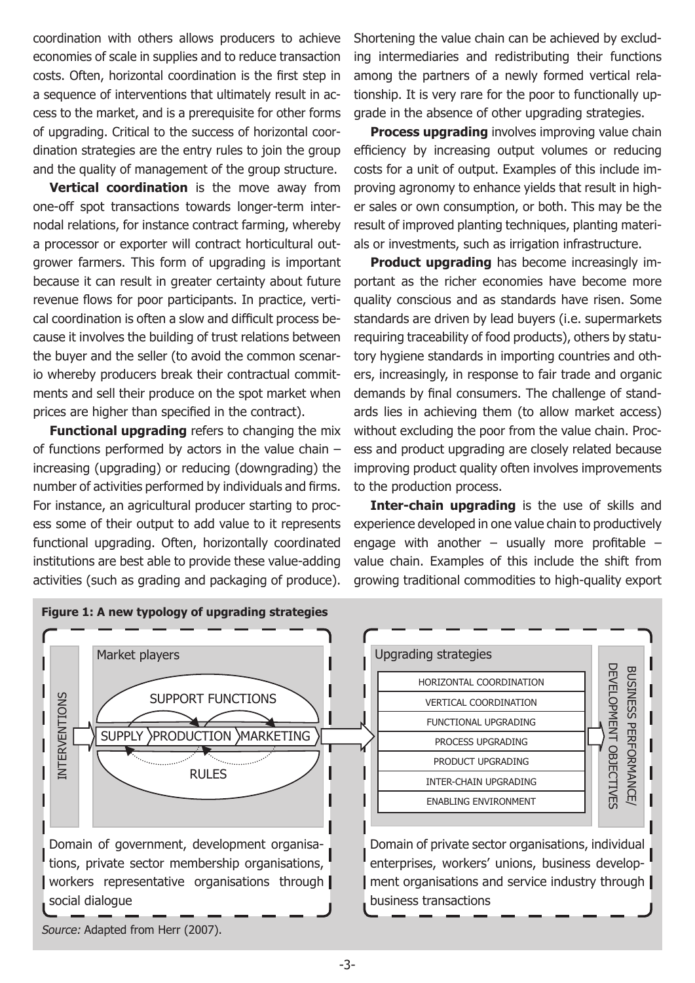coordination with others allows producers to achieve economies of scale in supplies and to reduce transaction costs. Often, horizontal coordination is the first step in a sequence of interventions that ultimately result in access to the market, and is a prerequisite for other forms of upgrading. Critical to the success of horizontal coordination strategies are the entry rules to join the group and the quality of management of the group structure.

**Vertical coordination** is the move away from one-off spot transactions towards longer-term internodal relations, for instance contract farming, whereby a processor or exporter will contract horticultural outgrower farmers. This form of upgrading is important because it can result in greater certainty about future revenue flows for poor participants. In practice, vertical coordination is often a slow and difficult process because it involves the building of trust relations between the buyer and the seller (to avoid the common scenario whereby producers break their contractual commitments and sell their produce on the spot market when prices are higher than specified in the contract).

**Functional upgrading** refers to changing the mix of functions performed by actors in the value chain – increasing (upgrading) or reducing (downgrading) the number of activities performed by individuals and firms. For instance, an agricultural producer starting to process some of their output to add value to it represents functional upgrading. Often, horizontally coordinated institutions are best able to provide these value-adding activities (such as grading and packaging of produce).

Shortening the value chain can be achieved by excluding intermediaries and redistributing their functions among the partners of a newly formed vertical relationship. It is very rare for the poor to functionally upgrade in the absence of other upgrading strategies.

**Process upgrading** involves improving value chain efficiency by increasing output volumes or reducing costs for a unit of output. Examples of this include improving agronomy to enhance yields that result in higher sales or own consumption, or both. This may be the result of improved planting techniques, planting materials or investments, such as irrigation infrastructure.

**Product upgrading** has become increasingly important as the richer economies have become more quality conscious and as standards have risen. Some standards are driven by lead buyers (i.e. supermarkets requiring traceability of food products), others by statutory hygiene standards in importing countries and others, increasingly, in response to fair trade and organic demands by final consumers. The challenge of standards lies in achieving them (to allow market access) without excluding the poor from the value chain. Process and product upgrading are closely related because improving product quality often involves improvements to the production process.

**Inter-chain upgrading** is the use of skills and experience developed in one value chain to productively engage with another  $-$  usually more profitable  $$ value chain. Examples of this include the shift from growing traditional commodities to high-quality export



<sup>-3-</sup>